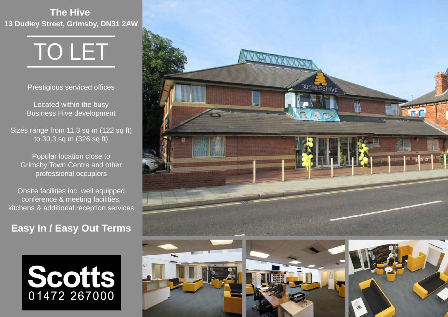**The Hive 13 Dudley Street, Grimsby, DN31 2AW**

# TO LET

Prestigious serviced offices

Located within the busy Business Hive development

Sizes range from 11.3 sq m (122 sq ft) to 30.3 sq m (326 sq ft)

Popular location close to Grimsby Town Centre and other professional occupiers

Onsite facilities inc. well equipped conference & meeting facilities, kitchens & additional reception services

## **Easy In / Easy Out Terms**